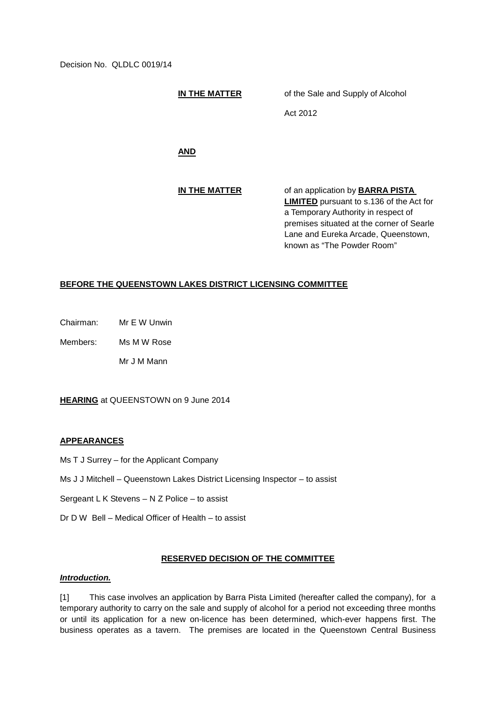Decision No. QLDLC 0019/14

**IN THE MATTER** of the Sale and Supply of Alcohol

Act 2012

**AND**

**IN THE MATTER** of an application by **BARRA PISTA LIMITED** pursuant to s.136 of the Act for a Temporary Authority in respect of premises situated at the corner of Searle Lane and Eureka Arcade, Queenstown, known as "The Powder Room"

## **BEFORE THE QUEENSTOWN LAKES DISTRICT LICENSING COMMITTEE**

Chairman: Mr E W Unwin

Members: Ms M W Rose

Mr J M Mann

**HEARING** at QUEENSTOWN on 9 June 2014

### **APPEARANCES**

- Ms T J Surrey for the Applicant Company
- Ms J J Mitchell Queenstown Lakes District Licensing Inspector to assist
- Sergeant L K Stevens N Z Police to assist
- Dr D W Bell Medical Officer of Health to assist

### **RESERVED DECISION OF THE COMMITTEE**

## *Introduction.*

[1] This case involves an application by Barra Pista Limited (hereafter called the company), for a temporary authority to carry on the sale and supply of alcohol for a period not exceeding three months or until its application for a new on-licence has been determined, which-ever happens first. The business operates as a tavern. The premises are located in the Queenstown Central Business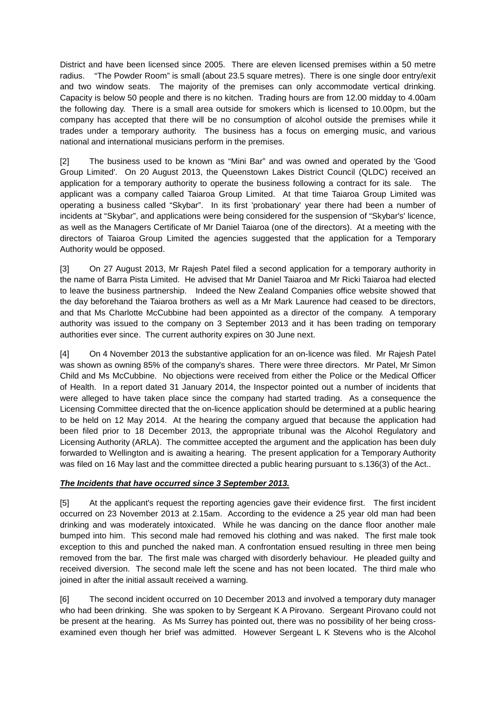District and have been licensed since 2005. There are eleven licensed premises within a 50 metre radius. "The Powder Room" is small (about 23.5 square metres). There is one single door entry/exit and two window seats. The majority of the premises can only accommodate vertical drinking. Capacity is below 50 people and there is no kitchen. Trading hours are from 12.00 midday to 4.00am the following day. There is a small area outside for smokers which is licensed to 10.00pm, but the company has accepted that there will be no consumption of alcohol outside the premises while it trades under a temporary authority. The business has a focus on emerging music, and various national and international musicians perform in the premises.

[2] The business used to be known as "Mini Bar" and was owned and operated by the 'Good Group Limited'. On 20 August 2013, the Queenstown Lakes District Council (QLDC) received an application for a temporary authority to operate the business following a contract for its sale. The applicant was a company called Taiaroa Group Limited. At that time Taiaroa Group Limited was operating a business called "Skybar". In its first 'probationary' year there had been a number of incidents at "Skybar", and applications were being considered for the suspension of "Skybar's' licence, as well as the Managers Certificate of Mr Daniel Taiaroa (one of the directors). At a meeting with the directors of Taiaroa Group Limited the agencies suggested that the application for a Temporary Authority would be opposed.

[3] On 27 August 2013, Mr Rajesh Patel filed a second application for a temporary authority in the name of Barra Pista Limited. He advised that Mr Daniel Taiaroa and Mr Ricki Taiaroa had elected to leave the business partnership. Indeed the New Zealand Companies office website showed that the day beforehand the Taiaroa brothers as well as a Mr Mark Laurence had ceased to be directors, and that Ms Charlotte McCubbine had been appointed as a director of the company. A temporary authority was issued to the company on 3 September 2013 and it has been trading on temporary authorities ever since. The current authority expires on 30 June next.

[4] On 4 November 2013 the substantive application for an on-licence was filed. Mr Rajesh Patel was shown as owning 85% of the company's shares. There were three directors. Mr Patel, Mr Simon Child and Ms McCubbine. No objections were received from either the Police or the Medical Officer of Health. In a report dated 31 January 2014, the Inspector pointed out a number of incidents that were alleged to have taken place since the company had started trading. As a consequence the Licensing Committee directed that the on-licence application should be determined at a public hearing to be held on 12 May 2014. At the hearing the company argued that because the application had been filed prior to 18 December 2013, the appropriate tribunal was the Alcohol Regulatory and Licensing Authority (ARLA). The committee accepted the argument and the application has been duly forwarded to Wellington and is awaiting a hearing. The present application for a Temporary Authority was filed on 16 May last and the committee directed a public hearing pursuant to s.136(3) of the Act..

# *The Incidents that have occurred since 3 September 2013.*

[5] At the applicant's request the reporting agencies gave their evidence first. The first incident occurred on 23 November 2013 at 2.15am. According to the evidence a 25 year old man had been drinking and was moderately intoxicated. While he was dancing on the dance floor another male bumped into him. This second male had removed his clothing and was naked. The first male took exception to this and punched the naked man. A confrontation ensued resulting in three men being removed from the bar. The first male was charged with disorderly behaviour. He pleaded guilty and received diversion. The second male left the scene and has not been located. The third male who joined in after the initial assault received a warning.

[6] The second incident occurred on 10 December 2013 and involved a temporary duty manager who had been drinking. She was spoken to by Sergeant K A Pirovano. Sergeant Pirovano could not be present at the hearing. As Ms Surrey has pointed out, there was no possibility of her being crossexamined even though her brief was admitted. However Sergeant L K Stevens who is the Alcohol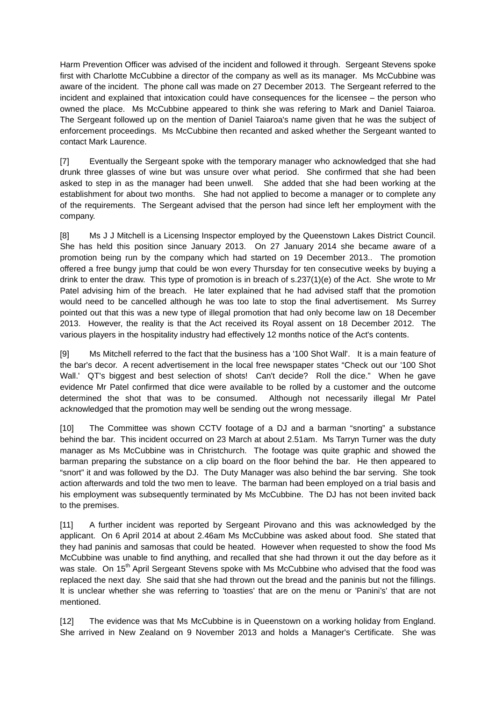Harm Prevention Officer was advised of the incident and followed it through. Sergeant Stevens spoke first with Charlotte McCubbine a director of the company as well as its manager. Ms McCubbine was aware of the incident. The phone call was made on 27 December 2013. The Sergeant referred to the incident and explained that intoxication could have consequences for the licensee – the person who owned the place. Ms McCubbine appeared to think she was refering to Mark and Daniel Taiaroa. The Sergeant followed up on the mention of Daniel Taiaroa's name given that he was the subject of enforcement proceedings. Ms McCubbine then recanted and asked whether the Sergeant wanted to contact Mark Laurence.

[7] Eventually the Sergeant spoke with the temporary manager who acknowledged that she had drunk three glasses of wine but was unsure over what period. She confirmed that she had been asked to step in as the manager had been unwell. She added that she had been working at the establishment for about two months. She had not applied to become a manager or to complete any of the requirements. The Sergeant advised that the person had since left her employment with the company.

[8] Ms J J Mitchell is a Licensing Inspector employed by the Queenstown Lakes District Council. She has held this position since January 2013. On 27 January 2014 she became aware of a promotion being run by the company which had started on 19 December 2013.. The promotion offered a free bungy jump that could be won every Thursday for ten consecutive weeks by buying a drink to enter the draw. This type of promotion is in breach of s.237(1)(e) of the Act. She wrote to Mr Patel advising him of the breach. He later explained that he had advised staff that the promotion would need to be cancelled although he was too late to stop the final advertisement. Ms Surrey pointed out that this was a new type of illegal promotion that had only become law on 18 December 2013. However, the reality is that the Act received its Royal assent on 18 December 2012. The various players in the hospitality industry had effectively 12 months notice of the Act's contents.

[9] Ms Mitchell referred to the fact that the business has a '100 Shot Wall'. It is a main feature of the bar's decor. A recent advertisement in the local free newspaper states "Check out our '100 Shot Wall.' QT's biggest and best selection of shots! Can't decide? Roll the dice." When he gave evidence Mr Patel confirmed that dice were available to be rolled by a customer and the outcome determined the shot that was to be consumed. Although not necessarily illegal Mr Patel acknowledged that the promotion may well be sending out the wrong message.

[10] The Committee was shown CCTV footage of a DJ and a barman "snorting" a substance behind the bar. This incident occurred on 23 March at about 2.51am. Ms Tarryn Turner was the duty manager as Ms McCubbine was in Christchurch. The footage was quite graphic and showed the barman preparing the substance on a clip board on the floor behind the bar. He then appeared to "snort" it and was followed by the DJ. The Duty Manager was also behind the bar serving. She took action afterwards and told the two men to leave. The barman had been employed on a trial basis and his employment was subsequently terminated by Ms McCubbine. The DJ has not been invited back to the premises.

[11] A further incident was reported by Sergeant Pirovano and this was acknowledged by the applicant. On 6 April 2014 at about 2.46am Ms McCubbine was asked about food. She stated that they had paninis and samosas that could be heated. However when requested to show the food Ms McCubbine was unable to find anything, and recalled that she had thrown it out the day before as it was stale. On 15<sup>th</sup> April Sergeant Stevens spoke with Ms McCubbine who advised that the food was replaced the next day. She said that she had thrown out the bread and the paninis but not the fillings. It is unclear whether she was referring to 'toasties' that are on the menu or 'Panini's' that are not mentioned.

[12] The evidence was that Ms McCubbine is in Queenstown on a working holiday from England. She arrived in New Zealand on 9 November 2013 and holds a Manager's Certificate. She was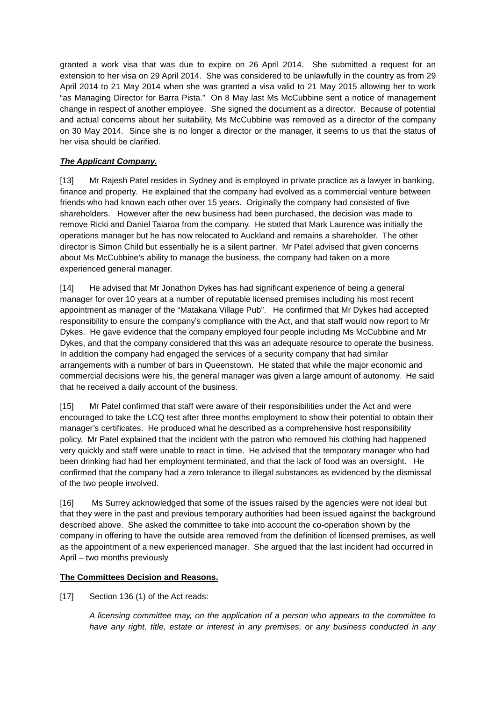granted a work visa that was due to expire on 26 April 2014. She submitted a request for an extension to her visa on 29 April 2014. She was considered to be unlawfully in the country as from 29 April 2014 to 21 May 2014 when she was granted a visa valid to 21 May 2015 allowing her to work "as Managing Director for Barra Pista." On 8 May last Ms McCubbine sent a notice of management change in respect of another employee. She signed the document as a director. Because of potential and actual concerns about her suitability, Ms McCubbine was removed as a director of the company on 30 May 2014. Since she is no longer a director or the manager, it seems to us that the status of her visa should be clarified.

# *The Applicant Company.*

[13] Mr Rajesh Patel resides in Sydney and is employed in private practice as a lawyer in banking, finance and property. He explained that the company had evolved as a commercial venture between friends who had known each other over 15 years. Originally the company had consisted of five shareholders. However after the new business had been purchased, the decision was made to remove Ricki and Daniel Taiaroa from the company. He stated that Mark Laurence was initially the operations manager but he has now relocated to Auckland and remains a shareholder. The other director is Simon Child but essentially he is a silent partner. Mr Patel advised that given concerns about Ms McCubbine's ability to manage the business, the company had taken on a more experienced general manager.

[14] He advised that Mr Jonathon Dykes has had significant experience of being a general manager for over 10 years at a number of reputable licensed premises including his most recent appointment as manager of the "Matakana Village Pub". He confirmed that Mr Dykes had accepted responsibility to ensure the company's compliance with the Act, and that staff would now report to Mr Dykes. He gave evidence that the company employed four people including Ms McCubbine and Mr Dykes, and that the company considered that this was an adequate resource to operate the business. In addition the company had engaged the services of a security company that had similar arrangements with a number of bars in Queenstown. He stated that while the major economic and commercial decisions were his, the general manager was given a large amount of autonomy. He said that he received a daily account of the business.

[15] Mr Patel confirmed that staff were aware of their responsibilities under the Act and were encouraged to take the LCQ test after three months employment to show their potential to obtain their manager's certificates. He produced what he described as a comprehensive host responsibility policy. Mr Patel explained that the incident with the patron who removed his clothing had happened very quickly and staff were unable to react in time. He advised that the temporary manager who had been drinking had had her employment terminated, and that the lack of food was an oversight. He confirmed that the company had a zero tolerance to illegal substances as evidenced by the dismissal of the two people involved.

[16] Ms Surrey acknowledged that some of the issues raised by the agencies were not ideal but that they were in the past and previous temporary authorities had been issued against the background described above. She asked the committee to take into account the co-operation shown by the company in offering to have the outside area removed from the definition of licensed premises, as well as the appointment of a new experienced manager. She argued that the last incident had occurred in April – two months previously

# **The Committees Decision and Reasons.**

[17] Section 136 (1) of the Act reads:

*A licensing committee may, on the application of a person who appears to the committee to have any right, title, estate or interest in any premises, or any business conducted in any*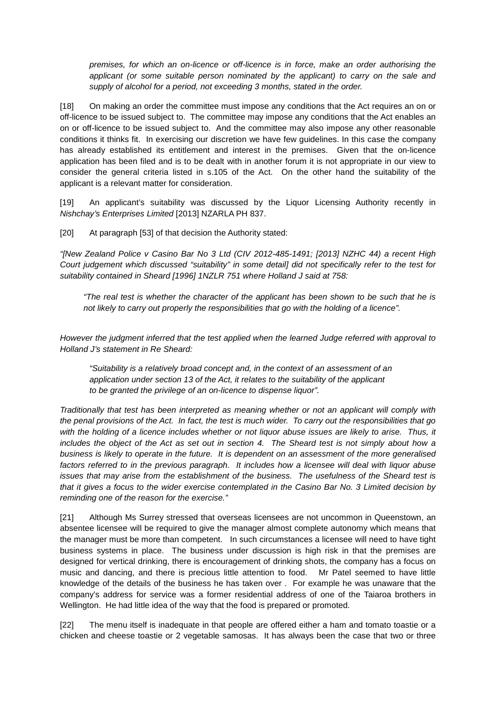*premises, for which an on-licence or off-licence is in force, make an order authorising the applicant (or some suitable person nominated by the applicant) to carry on the sale and supply of alcohol for a period, not exceeding 3 months, stated in the order.* 

[18] On making an order the committee must impose any conditions that the Act requires an on or off-licence to be issued subject to. The committee may impose any conditions that the Act enables an on or off-licence to be issued subject to. And the committee may also impose any other reasonable conditions it thinks fit. In exercising our discretion we have few guidelines. In this case the company has already established its entitlement and interest in the premises. Given that the on-licence application has been filed and is to be dealt with in another forum it is not appropriate in our view to consider the general criteria listed in s.105 of the Act. On the other hand the suitability of the applicant is a relevant matter for consideration.

[19] An applicant's suitability was discussed by the Liquor Licensing Authority recently in *Nishchay's Enterprises Limited* [2013] NZARLA PH 837.

[20] At paragraph [53] of that decision the Authority stated:

*"[New Zealand Police v Casino Bar No 3 Ltd (CIV 2012-485-1491; [2013] NZHC 44) a recent High Court judgement which discussed "suitability" in some detail] did not specifically refer to the test for suitability contained in Sheard [1996] 1NZLR 751 where Holland J said at 758:*

*"The real test is whether the character of the applicant has been shown to be such that he is not likely to carry out properly the responsibilities that go with the holding of a licence".*

*However the judgment inferred that the test applied when the learned Judge referred with approval to Holland J's statement in Re Sheard:* 

*"Suitability is a relatively broad concept and, in the context of an assessment of an application under section 13 of the Act, it relates to the suitability of the applicant to be granted the privilege of an on-licence to dispense liquor".* 

*Traditionally that test has been interpreted as meaning whether or not an applicant will comply with the penal provisions of the Act. In fact, the test is much wider. To carry out the responsibilities that go*  with the holding of a licence includes whether or not liquor abuse issues are likely to arise. Thus, it includes the object of the Act as set out in section 4. The Sheard test is not simply about how a *business is likely to operate in the future. It is dependent on an assessment of the more generalised factors referred to in the previous paragraph. It includes how a licensee will deal with liquor abuse issues that may arise from the establishment of the business. The usefulness of the Sheard test is that it gives a focus to the wider exercise contemplated in the Casino Bar No. 3 Limited decision by reminding one of the reason for the exercise."*

[21] Although Ms Surrey stressed that overseas licensees are not uncommon in Queenstown, an absentee licensee will be required to give the manager almost complete autonomy which means that the manager must be more than competent. In such circumstances a licensee will need to have tight business systems in place. The business under discussion is high risk in that the premises are designed for vertical drinking, there is encouragement of drinking shots, the company has a focus on music and dancing, and there is precious little attention to food. Mr Patel seemed to have little knowledge of the details of the business he has taken over . For example he was unaware that the company's address for service was a former residential address of one of the Taiaroa brothers in Wellington. He had little idea of the way that the food is prepared or promoted.

[22] The menu itself is inadequate in that people are offered either a ham and tomato toastie or a chicken and cheese toastie or 2 vegetable samosas. It has always been the case that two or three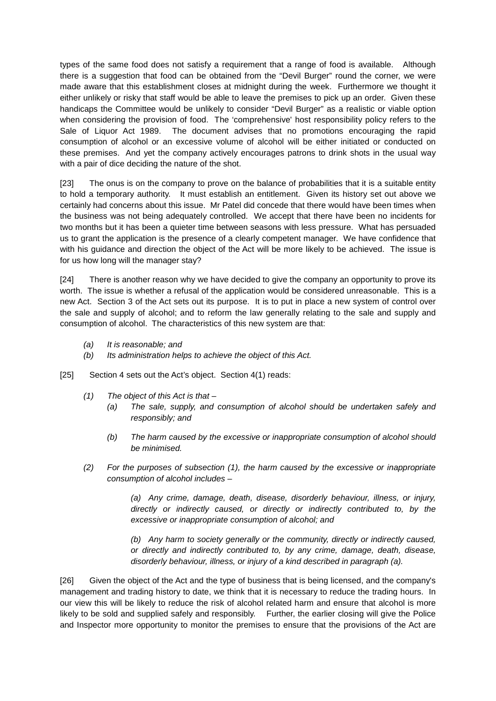types of the same food does not satisfy a requirement that a range of food is available. Although there is a suggestion that food can be obtained from the "Devil Burger" round the corner, we were made aware that this establishment closes at midnight during the week. Furthermore we thought it either unlikely or risky that staff would be able to leave the premises to pick up an order. Given these handicaps the Committee would be unlikely to consider "Devil Burger" as a realistic or viable option when considering the provision of food. The 'comprehensive' host responsibility policy refers to the Sale of Liquor Act 1989. The document advises that no promotions encouraging the rapid consumption of alcohol or an excessive volume of alcohol will be either initiated or conducted on these premises. And yet the company actively encourages patrons to drink shots in the usual way with a pair of dice deciding the nature of the shot.

[23] The onus is on the company to prove on the balance of probabilities that it is a suitable entity to hold a temporary authority. It must establish an entitlement. Given its history set out above we certainly had concerns about this issue. Mr Patel did concede that there would have been times when the business was not being adequately controlled. We accept that there have been no incidents for two months but it has been a quieter time between seasons with less pressure. What has persuaded us to grant the application is the presence of a clearly competent manager. We have confidence that with his guidance and direction the object of the Act will be more likely to be achieved. The issue is for us how long will the manager stay?

[24] There is another reason why we have decided to give the company an opportunity to prove its worth. The issue is whether a refusal of the application would be considered unreasonable. This is a new Act. Section 3 of the Act sets out its purpose. It is to put in place a new system of control over the sale and supply of alcohol; and to reform the law generally relating to the sale and supply and consumption of alcohol. The characteristics of this new system are that:

- *(a) It is reasonable; and*
- *(b) Its administration helps to achieve the object of this Act.*
- [25] Section 4 sets out the Act's object. Section 4(1) reads:
	- *(1) The object of this Act is that –*
		- *(a) The sale, supply, and consumption of alcohol should be undertaken safely and responsibly; and*
		- *(b) The harm caused by the excessive or inappropriate consumption of alcohol should be minimised.*
	- *(2) For the purposes of subsection (1), the harm caused by the excessive or inappropriate consumption of alcohol includes –*

*(a) Any crime, damage, death, disease, disorderly behaviour, illness, or injury, directly or indirectly caused, or directly or indirectly contributed to, by the excessive or inappropriate consumption of alcohol; and* 

*(b) Any harm to society generally or the community, directly or indirectly caused, or directly and indirectly contributed to, by any crime, damage, death, disease, disorderly behaviour, illness, or injury of a kind described in paragraph (a).*

[26] Given the object of the Act and the type of business that is being licensed, and the company's management and trading history to date, we think that it is necessary to reduce the trading hours. In our view this will be likely to reduce the risk of alcohol related harm and ensure that alcohol is more likely to be sold and supplied safely and responsibly. Further, the earlier closing will give the Police and Inspector more opportunity to monitor the premises to ensure that the provisions of the Act are